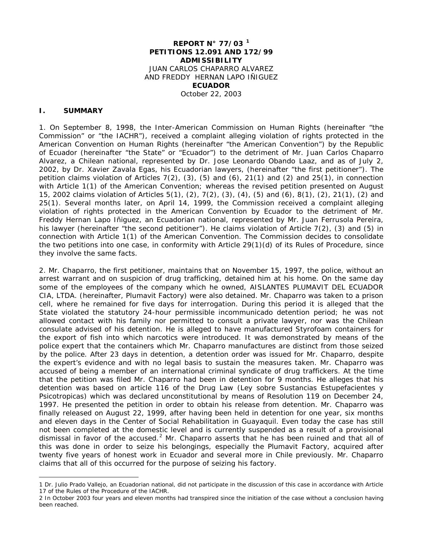#### **REPORT N° 77/03 [1](#page-0-0) PETITIONS 12.091 AND 172/99 ADMISSIBILITY** JUAN CARLOS CHAPARRO ALVAREZ AND FREDDY HERNAN LAPO IÑIGUEZ **ECUADOR** October 22, 2003

#### **I. SUMMARY**

l

1. On September 8, 1998, the Inter-American Commission on Human Rights (hereinafter "the Commission" or "the IACHR"), received a complaint alleging violation of rights protected in the American Convention on Human Rights (hereinafter "the American Convention") by the Republic of Ecuador (hereinafter "the State" or "Ecuador") to the detriment of Mr. Juan Carlos Chaparro Alvarez, a Chilean national, represented by Dr. Jose Leonardo Obando Laaz, and as of July 2, 2002, by Dr. Xavier Zavala Egas, his Ecuadorian lawyers, (hereinafter "the first petitioner"). The petition claims violation of Articles 7(2), (3), (5) and (6), 21(1) and (2) and 25(1), in connection with Article 1(1) of the American Convention; whereas the revised petition presented on August 15, 2002 claims violation of Articles 5(1), (2), 7(2), (3), (4), (5) and (6), 8(1), (2), 21(1), (2) and 25(1). Several months later, on April 14, 1999, the Commission received a complaint alleging violation of rights protected in the American Convention by Ecuador to the detriment of Mr. Freddy Hernan Lapo Iñiguez, an Ecuadorian national, represented by Mr. Juan Ferrusola Pereira, his lawyer (hereinafter "the second petitioner"). He claims violation of Article 7(2), (3) and (5) in connection with Article 1(1) of the American Convention. The Commission decides to consolidate the two petitions into one case, in conformity with Article 29(1)(d) of its Rules of Procedure, since they involve the same facts.

2. Mr. Chaparro, the first petitioner, maintains that on November 15, 1997, the police, without an arrest warrant and on suspicion of drug trafficking, detained him at his home. On the same day some of the employees of the company which he owned, AISLANTES PLUMAVIT DEL ECUADOR CIA, LTDA. (hereinafter, Plumavit Factory) were also detained. Mr. Chaparro was taken to a prison cell, where he remained for five days for interrogation. During this period it is alleged that the State violated the statutory 24-hour permissible incommunicado detention period; he was not allowed contact with his family nor permitted to consult a private lawyer, nor was the Chilean consulate advised of his detention. He is alleged to have manufactured Styrofoam containers for the export of fish into which narcotics were introduced. It was demonstrated by means of the police expert that the containers which Mr. Chaparro manufactures are distinct from those seized by the police. After 23 days in detention, a detention order was issued for Mr. Chaparro, despite the expert's evidence and with no legal basis to sustain the measures taken. Mr. Chaparro was accused of being a member of an international criminal syndicate of drug traffickers. At the time that the petition was filed Mr. Chaparro had been in detention for 9 months. He alleges that his detention was based on article 116 of the Drug Law (*Ley sobre Sustancias Estupefacientes y Psicotropicas*) which was declared unconstitutional by means of Resolution 119 on December 24, 1997. He presented the petition in order to obtain his release from detention. Mr. Chaparro was finally released on August 22, 1999, after having been held in detention for one year, six months and eleven days in the Center of Social Rehabilitation in Guayaquil. Even today the case has still not been completed at the domestic level and is currently suspended as a result of a provisional dismissal in favor of the accused.<sup>[2](#page-0-1)</sup> Mr. Chaparro asserts that he has been ruined and that all of this was done in order to seize his belongings, especially the Plumavit Factory, acquired after twenty five years of honest work in Ecuador and several more in Chile previously. Mr. Chaparro claims that all of this occurred for the purpose of seizing his factory.

<span id="page-0-0"></span><sup>1</sup> Dr. Julio Prado Vallejo, an Ecuadorian national, did not participate in the discussion of this case in accordance with Article 17 of the Rules of the Procedure of the IACHR.

<span id="page-0-1"></span><sup>2</sup> In October 2003 four years and eleven months had transpired since the initiation of the case without a conclusion having been reached.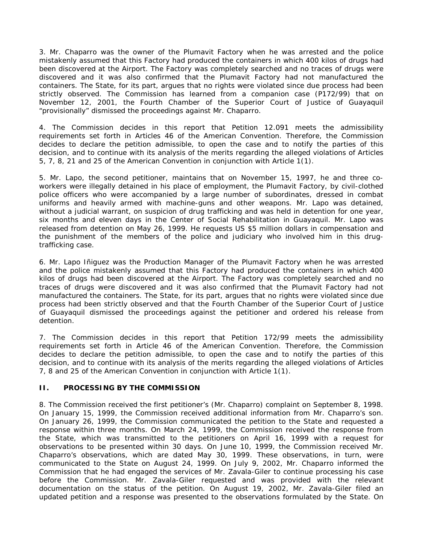3. Mr. Chaparro was the owner of the Plumavit Factory when he was arrested and the police mistakenly assumed that this Factory had produced the containers in which 400 kilos of drugs had been discovered at the Airport. The Factory was completely searched and no traces of drugs were discovered and it was also confirmed that the Plumavit Factory had not manufactured the containers. The State, for its part, argues that no rights were violated since due process had been strictly observed. The Commission has learned from a companion case (P172/99) that on November 12, 2001, the Fourth Chamber of the Superior Court of Justice of Guayaquil "provisionally" dismissed the proceedings against Mr. Chaparro.

4. The Commission decides in this report that Petition 12.091 meets the admissibility requirements set forth in Articles 46 of the American Convention. Therefore, the Commission decides to declare the petition admissible, to open the case and to notify the parties of this decision, and to continue with its analysis of the merits regarding the alleged violations of Articles 5, 7, 8, 21 and 25 of the American Convention in conjunction with Article 1(1).

5. Mr. Lapo, the second petitioner, maintains that on November 15, 1997, he and three coworkers were illegally detained in his place of employment, the Plumavit Factory, by civil-clothed police officers who were accompanied by a large number of subordinates, dressed in combat uniforms and heavily armed with machine-guns and other weapons. Mr. Lapo was detained, without a judicial warrant, on suspicion of drug trafficking and was held in detention for one year, six months and eleven days in the Center of Social Rehabilitation in Guayaquil. Mr. Lapo was released from detention on May 26, 1999. He requests US \$5 million dollars in compensation and the punishment of the members of the police and judiciary who involved him in this drugtrafficking case.

6. Mr. Lapo Iñiguez was the Production Manager of the Plumavit Factory when he was arrested and the police mistakenly assumed that this Factory had produced the containers in which 400 kilos of drugs had been discovered at the Airport. The Factory was completely searched and no traces of drugs were discovered and it was also confirmed that the Plumavit Factory had not manufactured the containers. The State, for its part, argues that no rights were violated since due process had been strictly observed and that the Fourth Chamber of the Superior Court of Justice of Guayaquil dismissed the proceedings against the petitioner and ordered his release from detention.

7. The Commission decides in this report that Petition 172/99 meets the admissibility requirements set forth in Article 46 of the American Convention. Therefore, the Commission decides to declare the petition admissible, to open the case and to notify the parties of this decision, and to continue with its analysis of the merits regarding the alleged violations of Articles 7, 8 and 25 of the American Convention in conjunction with Article 1(1).

#### **II. PROCESSING BY THE COMMISSION**

8. The Commission received the first petitioner's (Mr. Chaparro) complaint on September 8, 1998. On January 15, 1999, the Commission received additional information from Mr. Chaparro's son. On January 26, 1999, the Commission communicated the petition to the State and requested a response within three months. On March 24, 1999, the Commission received the response from the State, which was transmitted to the petitioners on April 16, 1999 with a request for observations to be presented within 30 days. On June 10, 1999, the Commission received Mr. Chaparro's observations, which are dated May 30, 1999. These observations, in turn, were communicated to the State on August 24, 1999. On July 9, 2002, Mr. Chaparro informed the Commission that he had engaged the services of Mr. Zavala-Giler to continue processing his case before the Commission. Mr. Zavala-Giler requested and was provided with the relevant documentation on the status of the petition. On August 19, 2002, Mr. Zavala-Giler filed an updated petition and a response was presented to the observations formulated by the State. On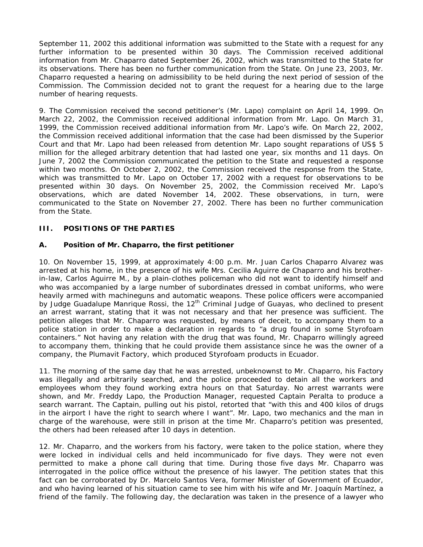September 11, 2002 this additional information was submitted to the State with a request for any further information to be presented within 30 days. The Commission received additional information from Mr. Chaparro dated September 26, 2002, which was transmitted to the State for its observations. There has been no further communication from the State. On June 23, 2003, Mr. Chaparro requested a hearing on admissibility to be held during the next period of session of the Commission. The Commission decided not to grant the request for a hearing due to the large number of hearing requests.

9. The Commission received the second petitioner's (Mr. Lapo) complaint on April 14, 1999. On March 22, 2002, the Commission received additional information from Mr. Lapo. On March 31, 1999, the Commission received additional information from Mr. Lapo's wife. On March 22, 2002, the Commission received additional information that the case had been dismissed by the Superior Court and that Mr. Lapo had been released from detention Mr. Lapo sought reparations of US\$ 5 million for the alleged arbitrary detention that had lasted one year, six months and 11 days. On June 7, 2002 the Commission communicated the petition to the State and requested a response within two months. On October 2, 2002, the Commission received the response from the State, which was transmitted to Mr. Lapo on October 17, 2002 with a request for observations to be presented within 30 days. On November 25, 2002, the Commission received Mr. Lapo's observations, which are dated November 14, 2002. These observations, in turn, were communicated to the State on November 27, 2002. There has been no further communication from the State.

## **III. POSITIONS OF THE PARTIES**

#### **A. Position of Mr. Chaparro, the first petitioner**

10. On November 15, 1999, at approximately 4:00 p.m. Mr. Juan Carlos Chaparro Alvarez was arrested at his home, in the presence of his wife Mrs. Cecilia Aguirre de Chaparro and his brotherin-law, Carlos Aguirre M., by a plain-clothes policeman who did not want to identify himself and who was accompanied by a large number of subordinates dressed in combat uniforms, who were heavily armed with machineguns and automatic weapons. These police officers were accompanied by Judge Guadalupe Manrique Rossi, the  $12<sup>th</sup>$  Criminal Judge of Guayas, who declined to present an arrest warrant, stating that it was not necessary and that her presence was sufficient. The petition alleges that Mr. Chaparro was requested, by means of deceit, to accompany them to a police station in order to make a declaration in regards to "a drug found in some Styrofoam containers." Not having any relation with the drug that was found, Mr. Chaparro willingly agreed to accompany them, thinking that he could provide them assistance since he was the owner of a company, the Plumavit Factory, which produced Styrofoam products in Ecuador.

11. The morning of the same day that he was arrested, unbeknownst to Mr. Chaparro, his Factory was illegally and arbitrarily searched, and the police proceeded to detain all the workers and employees whom they found working extra hours on that Saturday. No arrest warrants were shown, and Mr. Freddy Lapo, the Production Manager, requested Captain Peralta to produce a search warrant. The Captain, pulling out his pistol, retorted that "with this and 400 kilos of drugs in the airport I have the right to search where I want". Mr. Lapo, two mechanics and the man in charge of the warehouse, were still in prison at the time Mr. Chaparro's petition was presented, the others had been released after 10 days in detention.

12. Mr. Chaparro, and the workers from his factory, were taken to the police station, where they were locked in individual cells and held incommunicado for five days. They were not even permitted to make a phone call during that time. During those five days Mr. Chaparro was interrogated in the police office without the presence of his lawyer. The petition states that this fact can be corroborated by Dr. Marcelo Santos Vera, former Minister of Government of Ecuador, and who having learned of his situation came to see him with his wife and Mr. Joaquín Martínez, a friend of the family. The following day, the declaration was taken in the presence of a lawyer who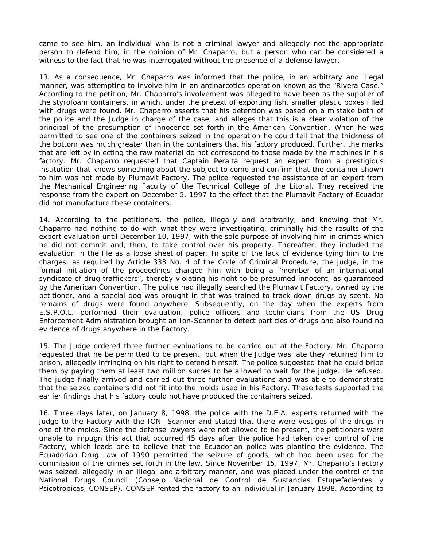came to see him, an individual who is not a criminal lawyer and allegedly not the appropriate person to defend him, in the opinion of Mr. Chaparro, but a person who can be considered a witness to the fact that he was interrogated without the presence of a defense lawyer.

13. As a consequence, Mr. Chaparro was informed that the police, in an arbitrary and illegal manner, was attempting to involve him in an antinarcotics operation known as the "Rivera Case." According to the petition, Mr. Chaparro's involvement was alleged to have been as the supplier of the styrofoam containers, in which, under the pretext of exporting fish, smaller plastic boxes filled with drugs were found. Mr. Chaparro asserts that his detention was based on a mistake both of the police and the Judge in charge of the case, and alleges that this is a clear violation of the principal of the presumption of innocence set forth in the American Convention. When he was permitted to see one of the containers seized in the operation he could tell that the thickness of the bottom was much greater than in the containers that his factory produced. Further, the marks that are left by injecting the raw material do not correspond to those made by the machines in his factory. Mr. Chaparro requested that Captain Peralta request an expert from a prestigious institution that knows something about the subject to come and confirm that the container shown to him was not made by Plumavit Factory. The police requested the assistance of an expert from the Mechanical Engineering Faculty of the Technical College of the Litoral. They received the response from the expert on December 5, 1997 to the effect that the Plumavit Factory of Ecuador did not manufacture these containers.

14. According to the petitioners, the police, illegally and arbitrarily, and knowing that Mr. Chaparro had nothing to do with what they were investigating, criminally hid the results of the expert evaluation until December 10, 1997, with the sole purpose of involving him in crimes which he did not commit and, then, to take control over his property. Thereafter, they included the evaluation in the file as a loose sheet of paper. In spite of the lack of evidence tying him to the charges, as required by Article 333 No. 4 of the Code of Criminal Procedure, the judge, in the formal initiation of the proceedings charged him with being a "member of an international syndicate of drug traffickers", thereby violating his right to be presumed innocent, as guaranteed by the American Convention. The police had illegally searched the Plumavit Factory, owned by the petitioner, and a special dog was brought in that was trained to track down drugs by scent. No remains of drugs were found anywhere. Subsequently, on the day when the experts from E.S.P.O.L. performed their evaluation, police officers and technicians from the US Drug Enforcement Administration brought an Ion-Scanner to detect particles of drugs and also found no evidence of drugs anywhere in the Factory.

15. The Judge ordered three further evaluations to be carried out at the Factory. Mr. Chaparro requested that he be permitted to be present, but when the Judge was late they returned him to prison, allegedly infringing on his right to defend himself. The police suggested that he could bribe them by paying them at least two million *sucres* to be allowed to wait for the judge. He refused. The judge finally arrived and carried out three further evaluations and was able to demonstrate that the seized containers did not fit into the molds used in his Factory. These tests supported the earlier findings that his factory could not have produced the containers seized.

16. Three days later, on January 8, 1998, the police with the D.E.A. experts returned with the judge to the Factory with the ION- Scanner and stated that there were vestiges of the drugs in one of the molds. Since the defense lawyers were not allowed to be present, the petitioners were unable to impugn this act that occurred 45 days after the police had taken over control of the Factory, which leads one to believe that the Ecuadorian police was planting the evidence. The Ecuadorian Drug Law of 1990 permitted the seizure of goods, which had been used for the commission of the crimes set forth in the law. Since November 15, 1997, Mr. Chaparro's Factory was seized, allegedly in an illegal and arbitrary manner, and was placed under the control of the National Drugs Council (*Consejo Nacional de Control de Sustancias Estupefacientes y Psicotropicas*, CONSEP). CONSEP rented the factory to an individual in January 1998. According to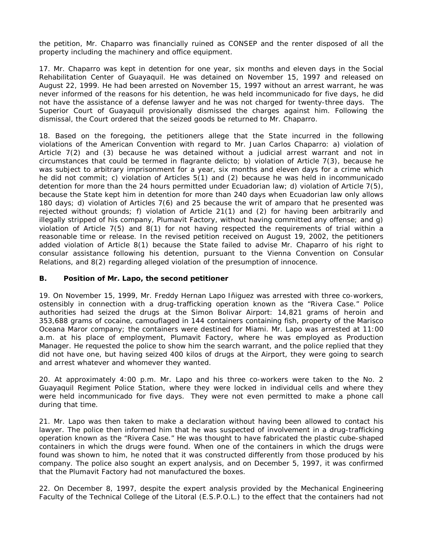the petition, Mr. Chaparro was financially ruined as CONSEP and the renter disposed of all the property including the machinery and office equipment.

17. Mr. Chaparro was kept in detention for one year, six months and eleven days in the Social Rehabilitation Center of Guayaquil. He was detained on November 15, 1997 and released on August 22, 1999. He had been arrested on November 15, 1997 without an arrest warrant, he was never informed of the reasons for his detention, he was held incommunicado for five days, he did not have the assistance of a defense lawyer and he was not charged for twenty-three days. The Superior Court of Guayaquil provisionally dismissed the charges against him. Following the dismissal, the Court ordered that the seized goods be returned to Mr. Chaparro.

18. Based on the foregoing, the petitioners allege that the State incurred in the following violations of the American Convention with regard to Mr. Juan Carlos Chaparro: a) violation of Article 7(2) and (3) because he was detained without a judicial arrest warrant and not in circumstances that could be termed in *flagrante delicto*; b) violation of Article 7(3), because he was subject to arbitrary imprisonment for a year, six months and eleven days for a crime which he did not commit; c) violation of Articles 5(1) and (2) because he was held in incommunicado detention for more than the 24 hours permitted under Ecuadorian law; d) violation of Article 7(5), because the State kept him in detention for more than 240 days when Ecuadorian law only allows 180 days; d) violation of Articles 7(6) and 25 because the writ of *amparo* that he presented was rejected without grounds; f) violation of Article 21(1) and (2) for having been arbitrarily and illegally stripped of his company, Plumavit Factory, without having committed any offense; and g) violation of Article 7(5) and 8(1) for not having respected the requirements of trial within a reasonable time or release. In the revised petition received on August 19, 2002, the petitioners added violation of Article 8(1) because the State failed to advise Mr. Chaparro of his right to consular assistance following his detention, pursuant to the Vienna Convention on Consular Relations, and 8(2) regarding alleged violation of the presumption of innocence.

#### **B. Position of Mr. Lapo, the second petitioner**

19. On November 15, 1999, Mr. Freddy Hernan Lapo Iñiguez was arrested with three co-workers, ostensibly in connection with a drug-trafficking operation known as the "Rivera Case." Police authorities had seized the drugs at the Simon Bolivar Airport: 14,821 grams of heroin and 353,688 grams of cocaine, camouflaged in 144 containers containing fish, property of the Marisco Oceana Maror company; the containers were destined for Miami. Mr. Lapo was arrested at 11:00 a.m. at his place of employment, Plumavit Factory, where he was employed as Production Manager. He requested the police to show him the search warrant, and the police replied that they did not have one, but having seized 400 kilos of drugs at the Airport, they were going to search and arrest whatever and whomever they wanted.

20. At approximately 4:00 p.m. Mr. Lapo and his three co-workers were taken to the No. 2 Guayaquil Regiment Police Station, where they were locked in individual cells and where they were held incommunicado for five days. They were not even permitted to make a phone call during that time.

21. Mr. Lapo was then taken to make a declaration without having been allowed to contact his lawyer. The police then informed him that he was suspected of involvement in a drug-trafficking operation known as the "Rivera Case." He was thought to have fabricated the plastic cube-shaped containers in which the drugs were found. When one of the containers in which the drugs were found was shown to him, he noted that it was constructed differently from those produced by his company. The police also sought an expert analysis, and on December 5, 1997, it was confirmed that the Plumavit Factory had not manufactured the boxes.

22. On December 8, 1997, despite the expert analysis provided by the Mechanical Engineering Faculty of the Technical College of the Litoral (E.S.P.O.L.) to the effect that the containers had not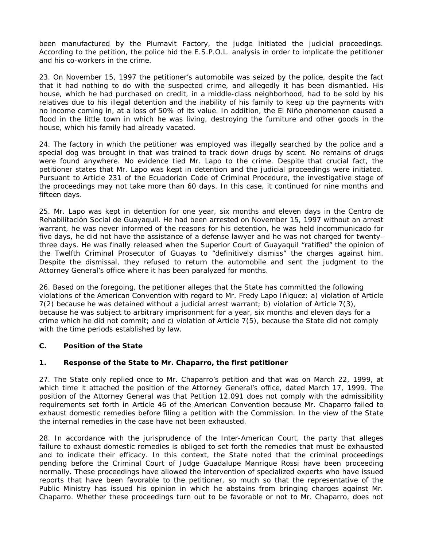been manufactured by the Plumavit Factory, the judge initiated the judicial proceedings. According to the petition, the police hid the E.S.P.O.L. analysis in order to implicate the petitioner and his co-workers in the crime.

23. On November 15, 1997 the petitioner's automobile was seized by the police, despite the fact that it had nothing to do with the suspected crime, and allegedly it has been dismantled. His house, which he had purchased on credit, in a middle-class neighborhood, had to be sold by his relatives due to his illegal detention and the inability of his family to keep up the payments with no income coming in, at a loss of 50% of its value. In addition, the El Niño phenomenon caused a flood in the little town in which he was living, destroying the furniture and other goods in the house, which his family had already vacated.

24. The factory in which the petitioner was employed was illegally searched by the police and a special dog was brought in that was trained to track down drugs by scent. No remains of drugs were found anywhere. No evidence tied Mr. Lapo to the crime. Despite that crucial fact, the petitioner states that Mr. Lapo was kept in detention and the judicial proceedings were initiated. Pursuant to Article 231 of the Ecuadorian Code of Criminal Procedure, the investigative stage of the proceedings may not take more than 60 days. In this case, it continued for nine months and fifteen days.

25. Mr. Lapo was kept in detention for one year, six months and eleven days in the Centro de Rehabilitación Social de Guayaquil. He had been arrested on November 15, 1997 without an arrest warrant, he was never informed of the reasons for his detention, he was held incommunicado for five days, he did not have the assistance of a defense lawyer and he was not charged for twentythree days. He was finally released when the Superior Court of Guayaquil "ratified" the opinion of the Twelfth Criminal Prosecutor of Guayas to "definitively dismiss" the charges against him. Despite the dismissal, they refused to return the automobile and sent the judgment to the Attorney General's office where it has been paralyzed for months.

26. Based on the foregoing, the petitioner alleges that the State has committed the following violations of the American Convention with regard to Mr. Fredy Lapo Iñiguez: a) violation of Article 7(2) because he was detained without a judicial arrest warrant; b) violation of Article 7(3), because he was subject to arbitrary imprisonment for a year, six months and eleven days for a crime which he did not commit; and c) violation of Article 7(5), because the State did not comply with the time periods established by law.

#### **C. Position of the State**

# **1. Response of the State to Mr. Chaparro, the first petitioner**

27. The State only replied once to Mr. Chaparro's petition and that was on March 22, 1999, at which time it attached the position of the Attorney General's office, dated March 17, 1999. The position of the Attorney General was that Petition 12.091 does not comply with the admissibility requirements set forth in Article 46 of the American Convention because Mr. Chaparro failed to exhaust domestic remedies before filing a petition with the Commission. In the view of the State the internal remedies in the case have not been exhausted.

28. In accordance with the jurisprudence of the Inter-American Court, the party that alleges failure to exhaust domestic remedies is obliged to set forth the remedies that must be exhausted and to indicate their efficacy. In this context, the State noted that the criminal proceedings pending before the Criminal Court of Judge Guadalupe Manrique Rossi have been proceeding normally. These proceedings have allowed the intervention of specialized experts who have issued reports that have been favorable to the petitioner, so much so that the representative of the Public Ministry has issued his opinion in which he abstains from bringing charges against Mr. Chaparro. Whether these proceedings turn out to be favorable or not to Mr. Chaparro, does not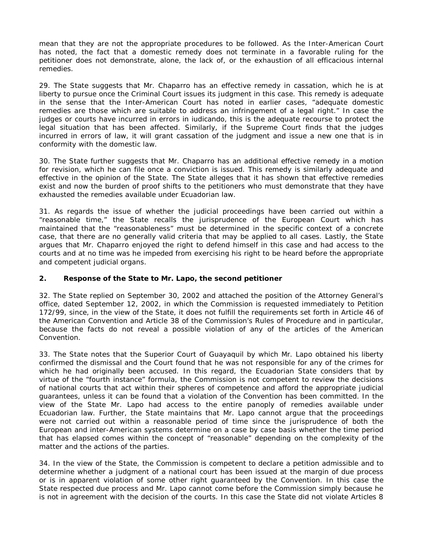mean that they are not the appropriate procedures to be followed. As the Inter-American Court has noted, the fact that a domestic remedy does not terminate in a favorable ruling for the petitioner does not demonstrate, alone, the lack of, or the exhaustion of all efficacious internal remedies.

29. The State suggests that Mr. Chaparro has an effective remedy in cassation, which he is at liberty to pursue once the Criminal Court issues its judgment in this case. This remedy is adequate in the sense that the Inter-American Court has noted in earlier cases, "adequate domestic remedies are those which are suitable to address an infringement of a legal right." In case the judges or courts have incurred in errors *in iudicando*, this is the adequate recourse to protect the legal situation that has been affected. Similarly, if the Supreme Court finds that the judges incurred in errors of law, it will grant cassation of the judgment and issue a new one that is in conformity with the domestic law.

30. The State further suggests that Mr. Chaparro has an additional effective remedy in a motion for revision, which he can file once a conviction is issued. This remedy is similarly adequate and effective in the opinion of the State. The State alleges that it has shown that effective remedies exist and now the burden of proof shifts to the petitioners who must demonstrate that they have exhausted the remedies available under Ecuadorian law.

31. As regards the issue of whether the judicial proceedings have been carried out within a "reasonable time," the State recalls the jurisprudence of the European Court which has maintained that the "reasonableness" must be determined in the specific context of a concrete case, that there are no generally valid criteria that may be applied to all cases. Lastly, the State argues that Mr. Chaparro enjoyed the right to defend himself in this case and had access to the courts and at no time was he impeded from exercising his right to be heard before the appropriate and competent judicial organs.

#### **2. Response of the State to Mr. Lapo, the second petitioner**

32. The State replied on September 30, 2002 and attached the position of the Attorney General's office, dated September 12, 2002, in which the Commission is requested immediately to Petition 172/99, since, in the view of the State, it does not fulfill the requirements set forth in Article 46 of the American Convention and Article 38 of the Commission's Rules of Procedure and in particular, because the facts do not reveal a possible violation of any of the articles of the American Convention.

33. The State notes that the Superior Court of Guayaquil by which Mr. Lapo obtained his liberty confirmed the dismissal and the Court found that he was not responsible for any of the crimes for which he had originally been accused. In this regard, the Ecuadorian State considers that by virtue of the "fourth instance" formula, the Commission is not competent to review the decisions of national courts that act within their spheres of competence and afford the appropriate judicial guarantees, unless it can be found that a violation of the Convention has been committed. In the view of the State Mr. Lapo had access to the entire panoply of remedies available under Ecuadorian law. Further, the State maintains that Mr. Lapo cannot argue that the proceedings were not carried out within a reasonable period of time since the jurisprudence of both the European and inter-American systems determine on a case by case basis whether the time period that has elapsed comes within the concept of "reasonable" depending on the complexity of the matter and the actions of the parties.

34. In the view of the State, the Commission is competent to declare a petition admissible and to determine whether a judgment of a national court has been issued at the margin of due process or is in apparent violation of some other right guaranteed by the Convention. In this case the State respected due process and Mr. Lapo cannot come before the Commission simply because he is not in agreement with the decision of the courts. In this case the State did not violate Articles 8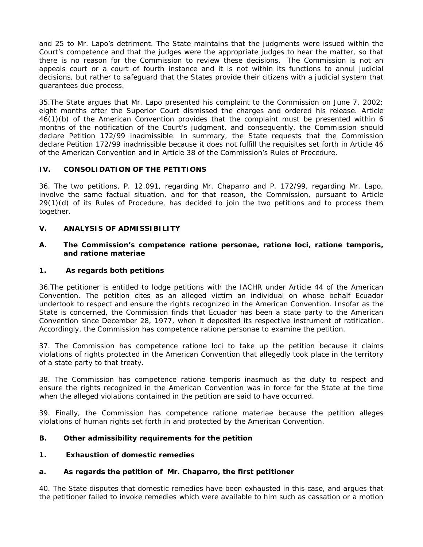and 25 to Mr. Lapo's detriment. The State maintains that the judgments were issued within the Court's competence and that the judges were the appropriate judges to hear the matter, so that there is no reason for the Commission to review these decisions. The Commission is not an appeals court or a court of fourth instance and it is not within its functions to annul judicial decisions, but rather to safeguard that the States provide their citizens with a judicial system that guarantees due process.

35.The State argues that Mr. Lapo presented his complaint to the Commission on June 7, 2002; eight months after the Superior Court dismissed the charges and ordered his release. Article 46(1)(b) of the American Convention provides that the complaint must be presented within 6 months of the notification of the Court's judgment, and consequently, the Commission should declare Petition 172/99 inadmissible. In summary, the State requests that the Commission declare Petition 172/99 inadmissible because it does not fulfill the requisites set forth in Article 46 of the American Convention and in Article 38 of the Commission's Rules of Procedure.

# **IV. CONSOLIDATION OF THE PETITIONS**

36. The two petitions, P. 12.091, regarding Mr. Chaparro and P. 172/99, regarding Mr. Lapo, involve the same factual situation, and for that reason, the Commission, pursuant to Article 29(1)(d) of its Rules of Procedure, has decided to join the two petitions and to process them together.

# **V. ANALYSIS OF ADMISSIBILITY**

#### **A. The Commission's competence** *ratione personae, ratione loci, ratione temporis, and ratione materiae*

### **1. As regards both petitions**

36.The petitioner is entitled to lodge petitions with the IACHR under Article 44 of the American Convention. The petition cites as an alleged victim an individual on whose behalf Ecuador undertook to respect and ensure the rights recognized in the American Convention. Insofar as the State is concerned, the Commission finds that Ecuador has been a state party to the American Convention since December 28, 1977, when it deposited its respective instrument of ratification. Accordingly, the Commission has competence *ratione personae* to examine the petition.

37. The Commission has competence *ratione loci* to take up the petition because it claims violations of rights protected in the American Convention that allegedly took place in the territory of a state party to that treaty.

38. The Commission has competence *ratione temporis* inasmuch as the duty to respect and ensure the rights recognized in the American Convention was in force for the State at the time when the alleged violations contained in the petition are said to have occurred.

39. Finally, the Commission has competence *ratione materiae* because the petition alleges violations of human rights set forth in and protected by the American Convention.

#### **B. Other admissibility requirements for the petition**

#### **1. Exhaustion of domestic remedies**

#### **a. As regards the petition of Mr. Chaparro, the first petitioner**

40. The State disputes that domestic remedies have been exhausted in this case, and argues that the petitioner failed to invoke remedies which were available to him such as cassation or a motion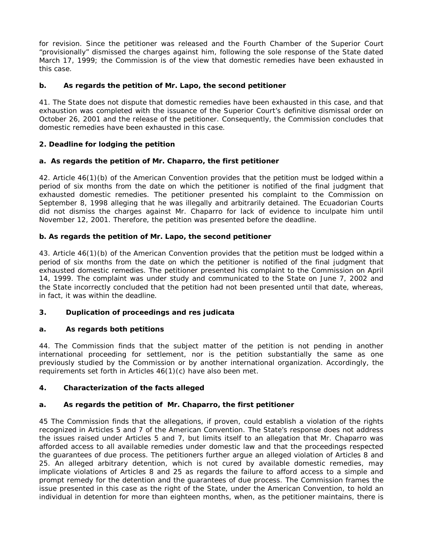for revision. Since the petitioner was released and the Fourth Chamber of the Superior Court "provisionally" dismissed the charges against him, following the sole response of the State dated March 17, 1999; the Commission is of the view that domestic remedies have been exhausted in this case.

### **b. As regards the petition of Mr. Lapo, the second petitioner**

41. The State does not dispute that domestic remedies have been exhausted in this case, and that exhaustion was completed with the issuance of the Superior Court's definitive dismissal order on October 26, 2001 and the release of the petitioner. Consequently, the Commission concludes that domestic remedies have been exhausted in this case.

## **2. Deadline for lodging the petition**

## **a. As regards the petition of Mr. Chaparro, the first petitioner**

42. Article 46(1)(b) of the American Convention provides that the petition must be lodged within a period of six months from the date on which the petitioner is notified of the final judgment that exhausted domestic remedies. The petitioner presented his complaint to the Commission on September 8, 1998 alleging that he was illegally and arbitrarily detained. The Ecuadorian Courts did not dismiss the charges against Mr. Chaparro for lack of evidence to inculpate him until November 12, 2001. Therefore, the petition was presented before the deadline.

## **b. As regards the petition of Mr. Lapo, the second petitioner**

43. Article 46(1)(b) of the American Convention provides that the petition must be lodged within a period of six months from the date on which the petitioner is notified of the final judgment that exhausted domestic remedies. The petitioner presented his complaint to the Commission on April 14, 1999. The complaint was under study and communicated to the State on June 7, 2002 and the State incorrectly concluded that the petition had not been presented until that date, whereas, in fact, it was within the deadline.

# **3. Duplication of proceedings and** *res judicata*

#### **a. As regards both petitions**

44. The Commission finds that the subject matter of the petition is not pending in another international proceeding for settlement, nor is the petition substantially the same as one previously studied by the Commission or by another international organization. Accordingly, the requirements set forth in Articles 46(1)(c) have also been met.

#### **4. Characterization of the facts alleged**

#### **a. As regards the petition of Mr. Chaparro, the first petitioner**

45 The Commission finds that the allegations, if proven, could establish a violation of the rights recognized in Articles 5 and 7 of the American Convention. The State's response does not address the issues raised under Articles 5 and 7, but limits itself to an allegation that Mr. Chaparro was afforded access to all available remedies under domestic law and that the proceedings respected the guarantees of due process. The petitioners further argue an alleged violation of Articles 8 and 25. An alleged arbitrary detention, which is not cured by available domestic remedies, may implicate violations of Articles 8 and 25 as regards the failure to afford access to a simple and prompt remedy for the detention and the guarantees of due process. The Commission frames the issue presented in this case as the right of the State, under the American Convention, to hold an individual in detention for more than eighteen months, when, as the petitioner maintains, there is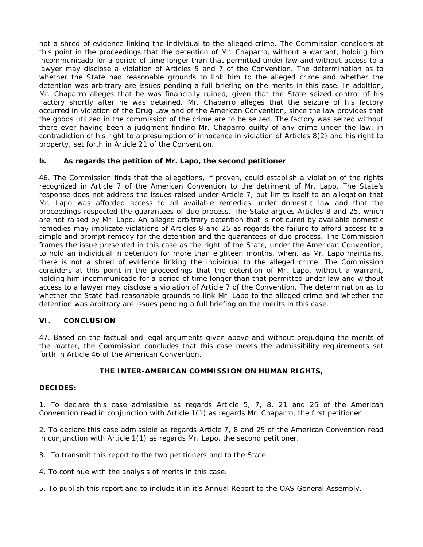not a shred of evidence linking the individual to the alleged crime. The Commission considers at this point in the proceedings that the detention of Mr. Chaparro, without a warrant, holding him incommunicado for a period of time longer than that permitted under law and without access to a lawyer may disclose a violation of Articles 5 and 7 of the Convention. The determination as to whether the State had reasonable grounds to link him to the alleged crime and whether the detention was arbitrary are issues pending a full briefing on the merits in this case. In addition, Mr. Chaparro alleges that he was financially ruined, given that the State seized control of his Factory shortly after he was detained. Mr. Chaparro alleges that the seizure of his factory occurred in violation of the Drug Law and of the American Convention, since the law provides that the goods utilized in the commission of the crime are to be seized. The factory was seized without there ever having been a judgment finding Mr. Chaparro guilty of any crime under the law, in contradiction of his right to a presumption of innocence in violation of Articles 8(2) and his right to property, set forth in Article 21 of the Convention.

## **b. As regards the petition of Mr. Lapo, the second petitioner**

46. The Commission finds that the allegations, if proven, could establish a violation of the rights recognized in Article 7 of the American Convention to the detriment of Mr. Lapo. The State's response does not address the issues raised under Article 7, but limits itself to an allegation that Mr. Lapo was afforded access to all available remedies under domestic law and that the proceedings respected the guarantees of due process. The State argues Articles 8 and 25, which are not raised by Mr. Lapo. An alleged arbitrary detention that is not cured by available domestic remedies may implicate violations of Articles 8 and 25 as regards the failure to afford access to a simple and prompt remedy for the detention and the guarantees of due process. The Commission frames the issue presented in this case as the right of the State, under the American Convention, to hold an individual in detention for more than eighteen months, when, as Mr. Lapo maintains, there is not a shred of evidence linking the individual to the alleged crime. The Commission considers at this point in the proceedings that the detention of Mr. Lapo, without a warrant, holding him incommunicado for a period of time longer than that permitted under law and without access to a lawyer may disclose a violation of Article 7 of the Convention. The determination as to whether the State had reasonable grounds to link Mr. Lapo to the alleged crime and whether the detention was arbitrary are issues pending a full briefing on the merits in this case.

#### **VI. CONCLUSION**

47. Based on the factual and legal arguments given above and without prejudging the merits of the matter, the Commission concludes that this case meets the admissibility requirements set forth in Article 46 of the American Convention.

#### **THE INTER-AMERICAN COMMISSION ON HUMAN RIGHTS,**

#### **DECIDES:**

1. To declare this case admissible as regards Article 5, 7, 8, 21 and 25 of the American Convention read in conjunction with Article 1(1) as regards Mr. Chaparro, the first petitioner.

2. To declare this case admissible as regards Article 7, 8 and 25 of the American Convention read in conjunction with Article 1(1) as regards Mr. Lapo, the second petitioner.

3. To transmit this report to the two petitioners and to the State.

4. To continue with the analysis of merits in this case.

5. To publish this report and to include it in it's Annual Report to the OAS General Assembly.